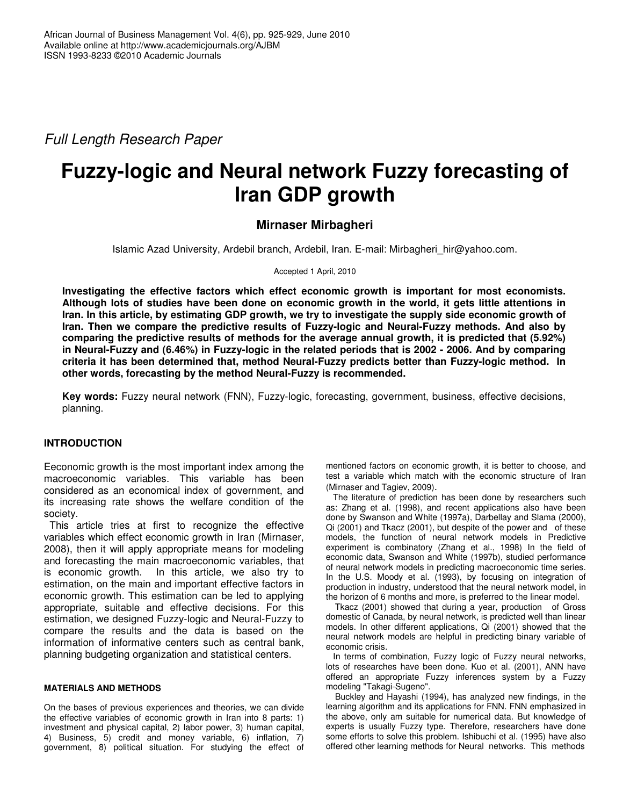*Full Length Research Paper*

# **Fuzzy-logic and Neural network Fuzzy forecasting of Iran GDP growth**

## **Mirnaser Mirbagheri**

Islamic Azad University, Ardebil branch, Ardebil, Iran. E-mail: Mirbagheri\_hir@yahoo.com.

Accepted 1 April, 2010

**Investigating the effective factors which effect economic growth is important for most economists.** Although lots of studies have been done on economic growth in the world, it gets little attentions in Iran. In this article, by estimating GDP growth, we try to investigate the supply side economic growth of **Iran. Then we compare the predictive results of Fuzzy-logic and Neural-Fuzzy methods. And also by comparing the predictive results of methods for the average annual growth, it is predicted that (5.92%)** in Neural-Fuzzy and (6.46%) in Fuzzy-logic in the related periods that is 2002 - 2006. And by comparing **criteria it has been determined that, method Neural-Fuzzy predicts better than Fuzzy-logic method. In other words, forecasting by the method Neural-Fuzzy is recommended.**

**Key words:** Fuzzy neural network (FNN), Fuzzy-logic, forecasting, government, business, effective decisions, planning.

## **INTRODUCTION**

Eeconomic growth is the most important index among the macroeconomic variables. This variable has been considered as an economical index of government, and its increasing rate shows the welfare condition of the society.

This article tries at first to recognize the effective variables which effect economic growth in Iran (Mirnaser, 2008), then it will apply appropriate means for modeling and forecasting the main macroeconomic variables, that is economic growth. In this article, we also try to estimation, on the main and important effective factors in economic growth. This estimation can be led to applying appropriate, suitable and effective decisions. For this estimation, we designed Fuzzy-logic and Neural-Fuzzy to compare the results and the data is based on the information of informative centers such as central bank, planning budgeting organization and statistical centers.

#### **MATERIALS AND METHODS**

On the bases of previous experiences and theories, we can divide the effective variables of economic growth in Iran into 8 parts: 1) investment and physical capital, 2) labor power, 3) human capital, 4) Business, 5) credit and money variable, 6) inflation, 7) government, 8) political situation. For studying the effect of mentioned factors on economic growth, it is better to choose, and test a variable which match with the economic structure of Iran (Mirnaser and Tagiev, 2009).

The literature of prediction has been done by researchers such as: Zhang et al. (1998), and recent applications also have been done by Swanson and White (1997a), Darbellay and Slama (2000), Qi (2001) and Tkacz (2001), but despite of the power and of these models, the function of neural network models in Predictive experiment is combinatory (Zhang et al., 1998) In the field of economic data, Swanson and White (1997b), studied performance of neural network models in predicting macroeconomic time series. In the U.S. Moody et al. (1993), by focusing on integration of production in industry, understood that the neural network model, in the horizon of 6 months and more, is preferred to the linear model.

Tkacz (2001) showed that during a year, production of Gross domestic of Canada, by neural network, is predicted well than linear models. In other different applications, Qi (2001) showed that the neural network models are helpful in predicting binary variable of economic crisis.

In terms of combination, Fuzzy logic of Fuzzy neural networks, lots of researches have been done. Kuo et al. (2001), ANN have offered an appropriate Fuzzy inferences system by a Fuzzy modeling "Takagi-Sugeno".

Buckley and Hayashi (1994), has analyzed new findings, in the learning algorithm and its applications for FNN. FNN emphasized in the above, only am suitable for numerical data. But knowledge of experts is usually Fuzzy type. Therefore, researchers have done some efforts to solve this problem. Ishibuchi et al. (1995) have also offered other learning methods for Neural networks. This methods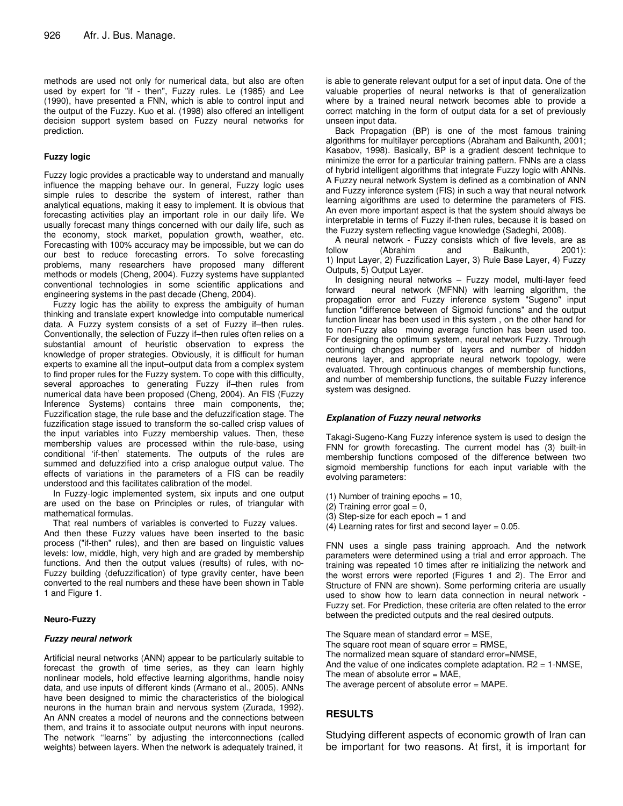methods are used not only for numerical data, but also are often used by expert for "if - then", Fuzzy rules. Le (1985) and Lee (1990), have presented a FNN, which is able to control input and the output of the Fuzzy. Kuo et al. (1998) also offered an intelligent decision support system based on Fuzzy neural networks for prediction.

#### **Fuzzy logic**

Fuzzy logic provides a practicable way to understand and manually influence the mapping behave our. In general, Fuzzy logic uses simple rules to describe the system of interest, rather than analytical equations, making it easy to implement. It is obvious that forecasting activities play an important role in our daily life. We usually forecast many things concerned with our daily life, such as the economy, stock market, population growth, weather, etc. Forecasting with 100% accuracy may be impossible, but we can do our best to reduce forecasting errors. To solve forecasting problems, many researchers have proposed many different methods or models (Cheng, 2004). Fuzzy systems have supplanted conventional technologies in some scientific applications and engineering systems in the past decade (Cheng, 2004).

Fuzzy logic has the ability to express the ambiguity of human thinking and translate expert knowledge into computable numerical data. A Fuzzy system consists of a set of Fuzzy if–then rules. Conventionally, the selection of Fuzzy if–then rules often relies on a substantial amount of heuristic observation to express the knowledge of proper strategies. Obviously, it is difficult for human experts to examine all the input–output data from a complex system to find proper rules for the Fuzzy system. To cope with this difficulty, several approaches to generating Fuzzy if–then rules from numerical data have been proposed (Cheng, 2004). An FIS (Fuzzy Inference Systems) contains three main components, the; Fuzzification stage, the rule base and the defuzzification stage. The fuzzification stage issued to transform the so-called crisp values of the input variables into Fuzzy membership values. Then, these membership values are processed within the rule-base, using conditional 'if-then' statements. The outputs of the rules are summed and defuzzified into a crisp analogue output value. The effects of variations in the parameters of a FIS can be readily understood and this facilitates calibration of the model.

In Fuzzy-logic implemented system, six inputs and one output are used on the base on Principles or rules, of triangular with mathematical formulas.

That real numbers of variables is converted to Fuzzy values.

And then these Fuzzy values have been inserted to the basic process ("if-then" rules), and then are based on linguistic values levels: low, middle, high, very high and are graded by membership functions. And then the output values (results) of rules, with no-Fuzzy building (defuzzification) of type gravity center, have been converted to the real numbers and these have been shown in Table 1 and Figure 1.

#### **Neuro-Fuzzy**

#### *Fuzzy neural network*

Artificial neural networks (ANN) appear to be particularly suitable to forecast the growth of time series, as they can learn highly nonlinear models, hold effective learning algorithms, handle noisy data, and use inputs of different kinds (Armano et al., 2005). ANNs have been designed to mimic the characteristics of the biological neurons in the human brain and nervous system (Zurada, 1992). An ANN creates a model of neurons and the connections between them, and trains it to associate output neurons with input neurons. The network ''learns'' by adjusting the interconnections (called weights) between layers. When the network is adequately trained, it

is able to generate relevant output for a set of input data. One of the valuable properties of neural networks is that of generalization where by a trained neural network becomes able to provide a correct matching in the form of output data for a set of previously unseen input data.

Back Propagation (BP) is one of the most famous training algorithms for multilayer perceptions (Abraham and Baikunth, 2001; Kasabov, 1998). Basically, BP is a gradient descent technique to minimize the error for a particular training pattern. FNNs are a class of hybrid intelligent algorithms that integrate Fuzzy logic with ANNs. A Fuzzy neural network System is defined as a combination of ANN and Fuzzy inference system (FIS) in such a way that neural network learning algorithms are used to determine the parameters of FIS. An even more important aspect is that the system should always be interpretable in terms of Fuzzy if-then rules, because it is based on the Fuzzy system reflecting vague knowledge (Sadeghi, 2008).

A neural network - Fuzzy consists which of five levels, are as<br>follow (Abrahim and Baikunth, 2001): Baikunth, 1) Input Layer, 2) Fuzzification Layer, 3) Rule Base Layer, 4) Fuzzy Outputs, 5) Output Layer.

In designing neural networks – Fuzzy model, multi-layer feed forward neural network (MFNN) with learning algorithm, the propagation error and Fuzzy inference system "Sugeno" input function "difference between of Sigmoid functions" and the output function linear has been used in this system , on the other hand for to non-Fuzzy also moving average function has been used too. For designing the optimum system, neural network Fuzzy. Through continuing changes number of layers and number of hidden neurons layer, and appropriate neural network topology, were evaluated. Through continuous changes of membership functions, and number of membership functions, the suitable Fuzzy inference system was designed.

#### *Explanation of Fuzzy neural networks*

Takagi-Sugeno-Kang Fuzzy inference system is used to design the FNN for growth forecasting. The current model has (3) built-in membership functions composed of the difference between two sigmoid membership functions for each input variable with the evolving parameters:

- (1) Number of training epochs =  $10$ ,
- $(2)$  Training error goal = 0,
- $(3)$  Step-size for each epoch = 1 and
- $(4)$  Learning rates for first and second layer = 0.05.

FNN uses a single pass training approach. And the network parameters were determined using a trial and error approach. The training was repeated 10 times after re initializing the network and the worst errors were reported (Figures 1 and 2). The Error and Structure of FNN are shown). Some performing criteria are usually used to show how to learn data connection in neural network - Fuzzy set. For Prediction, these criteria are often related to the error between the predicted outputs and the real desired outputs.

The Square mean of standard error  $=$  MSE. The square root mean of square error  $=$  RMSE, The normalized mean square of standard error=NMSE, And the value of one indicates complete adaptation.  $R2 = 1-NMSE$ , The mean of absolute error  $= MAE$ , The average percent of absolute error = MAPE.

## **RESULTS**

Studying different aspects of economic growth of Iran can be important for two reasons. At first, it is important for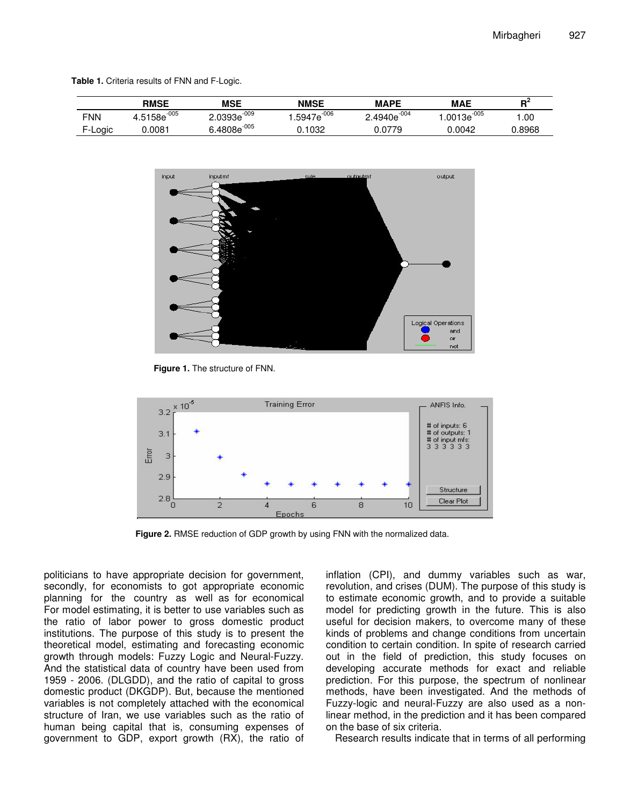**Table 1.** Criteria results of FNN and F-Logic.

|            | <b>RMSE</b>       | <b>MSE</b>       | <b>NMSE</b>           | <b>MAPE</b>      | <b>MAE</b>      | вž     |
|------------|-------------------|------------------|-----------------------|------------------|-----------------|--------|
| <b>FNN</b> | $-005$<br>4.5158e | $2.0393e^{-009}$ | 5947e <sup>-006</sup> | $2.4940e^{-004}$ | $.0013e^{-005}$ | .00    |
| F-Logic    | 0.0081            | $6.4808e^{-005}$ | 1032                  | 0.0779           | 0.0042          | 0.8968 |



**Figure 1.** The structure of FNN.



**Figure 2.** RMSE reduction of GDP growth by using FNN with the normalized data.

politicians to have appropriate decision for government, secondly, for economists to got appropriate economic planning for the country as well as for economical For model estimating, it is better to use variables such as the ratio of labor power to gross domestic product institutions. The purpose of this study is to present the theoretical model, estimating and forecasting economic growth through models: Fuzzy Logic and Neural-Fuzzy. And the statistical data of country have been used from 1959 - 2006. (DLGDD), and the ratio of capital to gross domestic product (DKGDP). But, because the mentioned variables is not completely attached with the economical structure of Iran, we use variables such as the ratio of human being capital that is, consuming expenses of government to GDP, export growth (RX), the ratio of

inflation (CPI), and dummy variables such as war, revolution, and crises (DUM). The purpose of this study is to estimate economic growth, and to provide a suitable model for predicting growth in the future. This is also useful for decision makers, to overcome many of these kinds of problems and change conditions from uncertain condition to certain condition. In spite of research carried out in the field of prediction, this study focuses on developing accurate methods for exact and reliable prediction. For this purpose, the spectrum of nonlinear methods, have been investigated. And the methods of Fuzzy-logic and neural-Fuzzy are also used as a nonlinear method, in the prediction and it has been compared on the base of six criteria.

Research results indicate that in terms of all performing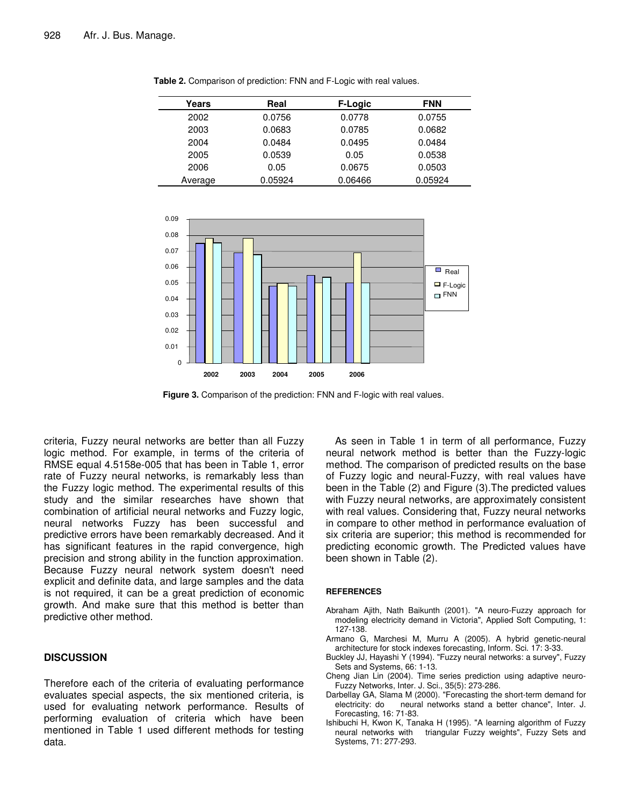| Years   | Real    | F-Logic | <b>FNN</b> |
|---------|---------|---------|------------|
| 2002    | 0.0756  | 0.0778  | 0.0755     |
| 2003    | 0.0683  | 0.0785  | 0.0682     |
| 2004    | 0.0484  | 0.0495  | 0.0484     |
| 2005    | 0.0539  | 0.05    | 0.0538     |
| 2006    | 0.05    | 0.0675  | 0.0503     |
| Average | 0.05924 | 0.06466 | 0.05924    |

**Table 2.** Comparison of prediction: FNN and F-Logic with real values.



**Figure 3.** Comparison of the prediction: FNN and F-logic with real values.

criteria, Fuzzy neural networks are better than all Fuzzy logic method. For example, in terms of the criteria of RMSE equal 4.5158e-005 that has been in Table 1, error rate of Fuzzy neural networks, is remarkably less than the Fuzzy logic method. The experimental results of this study and the similar researches have shown that combination of artificial neural networks and Fuzzy logic, neural networks Fuzzy has been successful and predictive errors have been remarkably decreased. And it has significant features in the rapid convergence, high precision and strong ability in the function approximation. Because Fuzzy neural network system doesn't need explicit and definite data, and large samples and the data is not required, it can be a great prediction of economic growth. And make sure that this method is better than predictive other method.

#### **DISCUSSION**

Therefore each of the criteria of evaluating performance evaluates special aspects, the six mentioned criteria, is used for evaluating network performance. Results of performing evaluation of criteria which have been mentioned in Table 1 used different methods for testing data.

As seen in Table 1 in term of all performance, Fuzzy neural network method is better than the Fuzzy-logic method. The comparison of predicted results on the base of Fuzzy logic and neural-Fuzzy, with real values have been in the Table (2) and Figure (3).The predicted values with Fuzzy neural networks, are approximately consistent with real values. Considering that, Fuzzy neural networks in compare to other method in performance evaluation of six criteria are superior; this method is recommended for predicting economic growth. The Predicted values have been shown in Table (2).

#### **REFERENCES**

- Abraham Ajith, Nath Baikunth (2001). "A neuro-Fuzzy approach for modeling electricity demand in Victoria", Applied Soft Computing, 1: 127-138.
- Armano G, Marchesi M, Murru A (2005). A hybrid genetic-neural architecture for stock indexes forecasting, Inform. Sci. 17: 3-33.
- Buckley JJ, Hayashi Y (1994). "Fuzzy neural networks: a survey", Fuzzy Sets and Systems, 66: 1-13.
- Cheng Jian Lin (2004). Time series prediction using adaptive neuro-Fuzzy Networks, Inter. J. Sci., 35(5): 273-286.
- Darbellay GA, Slama M (2000). "Forecasting the short-term demand for neural networks stand a better chance", Inter. J. Forecasting, 16: 71-83.
- Ishibuchi H, Kwon K, Tanaka H (1995). "A learning algorithm of Fuzzy neural networks with triangular Fuzzy weights", Fuzzy Sets and Systems, 71: 277-293.